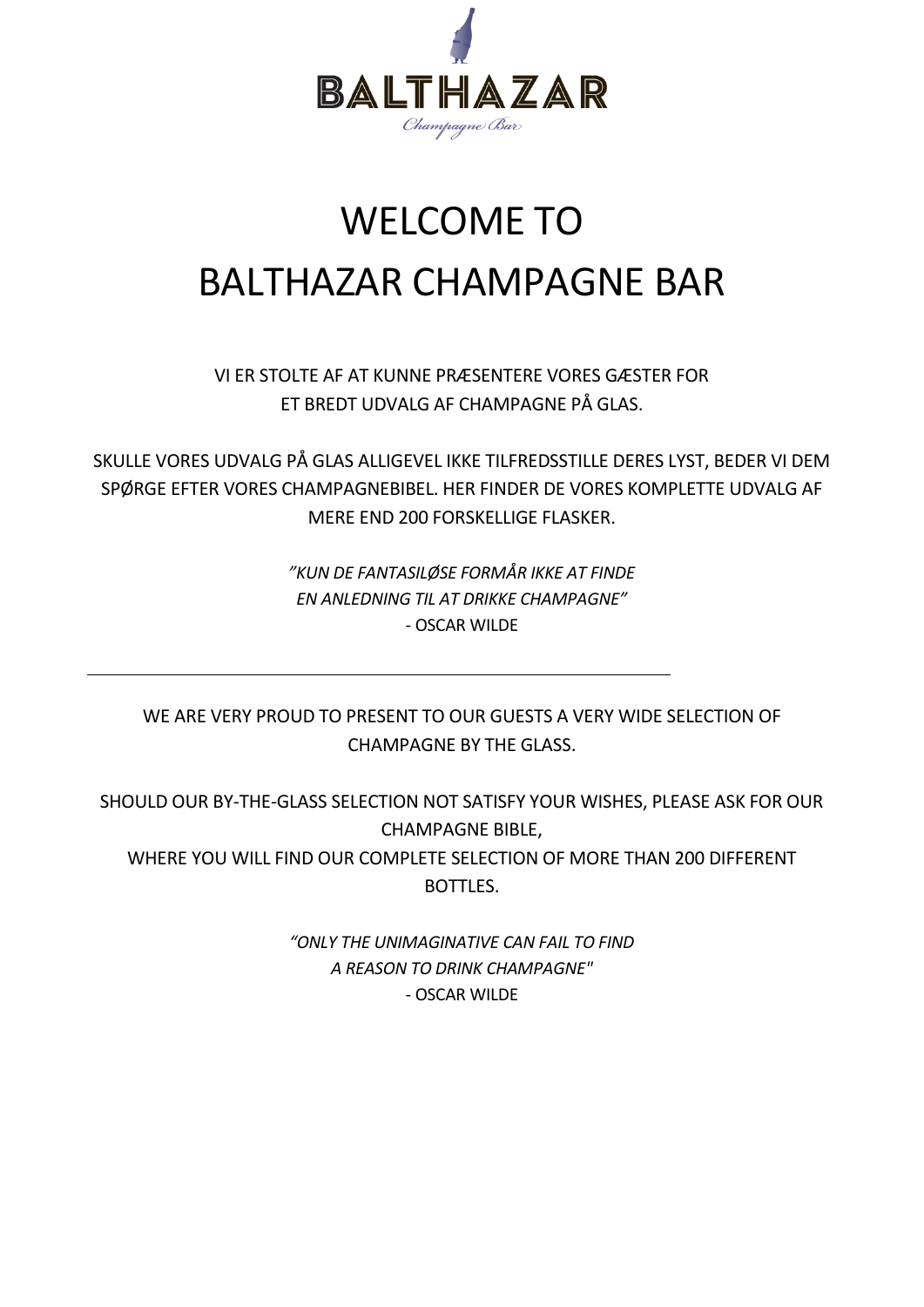

# WELCOME TO BALTHAZAR CHAMPAGNE BAR

VI ER STOLTE AF AT KUNNE PRÆSENTERE VORES GÆSTER FOR ET BREDT UDVALG AF CHAMPAGNE PÅ GLAS.

SKULLE VORES UDVALG PÅ GLAS ALLIGEVEL IKKE TILFREDSSTILLE DERES LYST, BEDER VI DEM SPØRGE EFTER VORES CHAMPAGNEBIBEL. HER FINDER DE VORES KOMPLETTE UDVALG AF MERE END 200 FORSKELLIGE FLASKER.

> *"KUN DE FANTASILØSE FORMÅR IKKE AT FINDE EN ANLEDNING TIL AT DRIKKE CHAMPAGNE"* - OSCAR WILDE

WE ARE VERY PROUD TO PRESENT TO OUR GUESTS A VERY WIDE SELECTION OF CHAMPAGNE BY THE GLASS.

SHOULD OUR BY-THE-GLASS SELECTION NOT SATISFY YOUR WISHES, PLEASE ASK FOR OUR CHAMPAGNE BIBLE, WHERE YOU WILL FIND OUR COMPLETE SELECTION OF MORE THAN 200 DIFFERENT BOTTLES.

> *"ONLY THE UNIMAGINATIVE CAN FAIL TO FIND A REASON TO DRINK CHAMPAGNE"* - OSCAR WILDE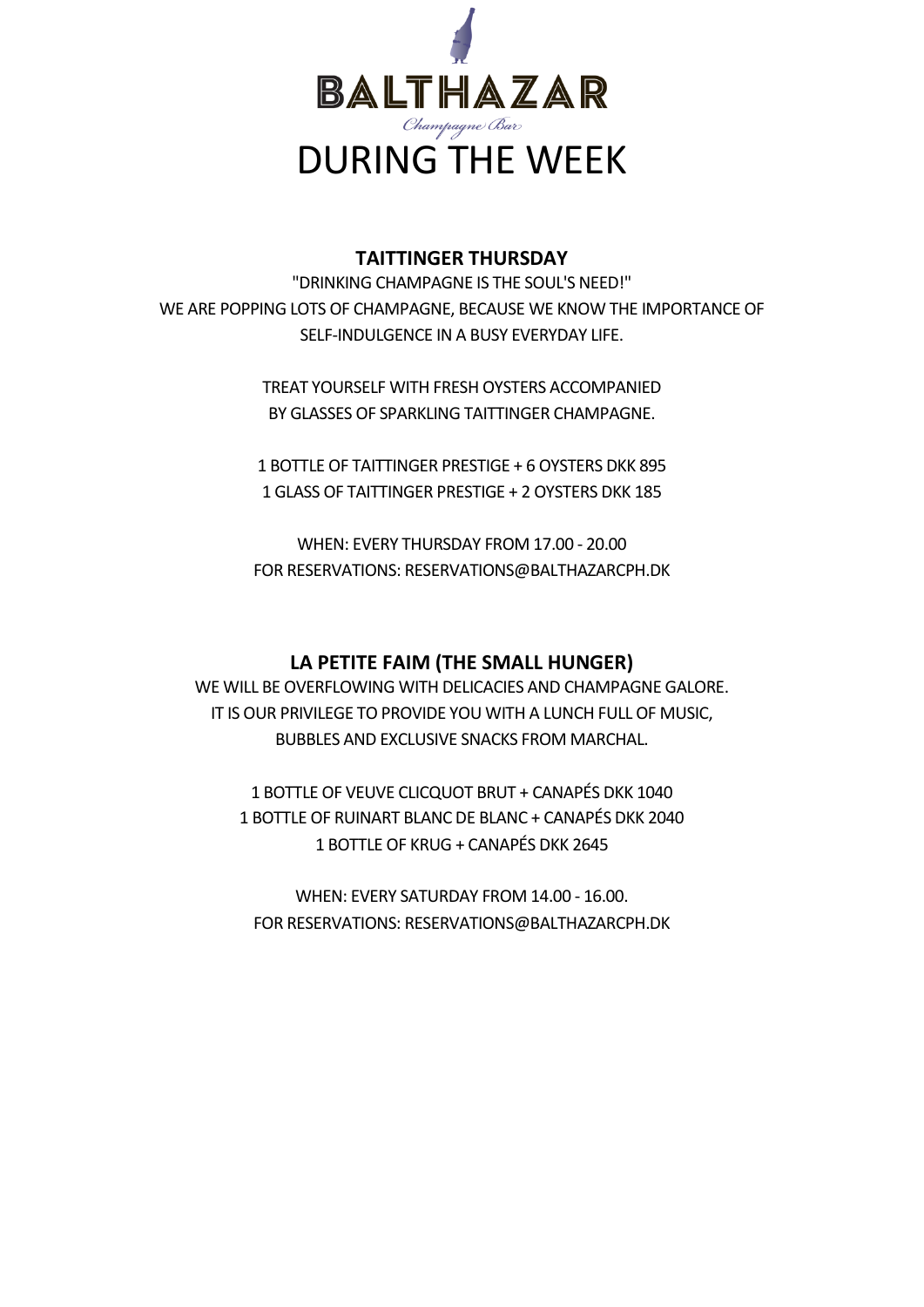

#### **TAITTINGER THURSDAY**

"DRINKING CHAMPAGNE IS THE SOUL'S NEED!" WE ARE POPPING LOTS OF CHAMPAGNE, BECAUSE WE KNOW THE IMPORTANCE OF SELF-INDULGENCE IN A BUSY EVERYDAY LIFE.

> TREAT YOURSELF WITH FRESH OYSTERS ACCOMPANIED BY GLASSES OF SPARKLING TAITTINGER CHAMPAGNE.

1 BOTTLE OF TAITTINGER PRESTIGE + 6 OYSTERS DKK 895 1 GLASS OF TAITTINGER PRESTIGE + 2 OYSTERS DKK 185

WHEN: EVERY THURSDAY FROM 17.00 - 20.00 FOR RESERVATIONS: RESERVATIONS@BALTHAZARCPH.DK

#### **LA PETITE FAIM (THE SMALL HUNGER)**

WE WILL BE OVERFLOWING WITH DELICACIES AND CHAMPAGNE GALORE. IT IS OUR PRIVILEGE TO PROVIDE YOU WITH A LUNCH FULL OF MUSIC, BUBBLES AND EXCLUSIVE SNACKS FROM MARCHAL.

1 BOTTLE OF VEUVE CLICQUOT BRUT + CANAPÉS DKK 1040 1 BOTTLE OF RUINART BLANC DE BLANC + CANAPÉS DKK 2040 1 BOTTLE OF KRUG + CANAPÉS DKK 2645

WHEN: EVERY SATURDAY FROM 14.00 - 16.00. FOR RESERVATIONS: RESERVATIONS@BALTHAZARCPH.DK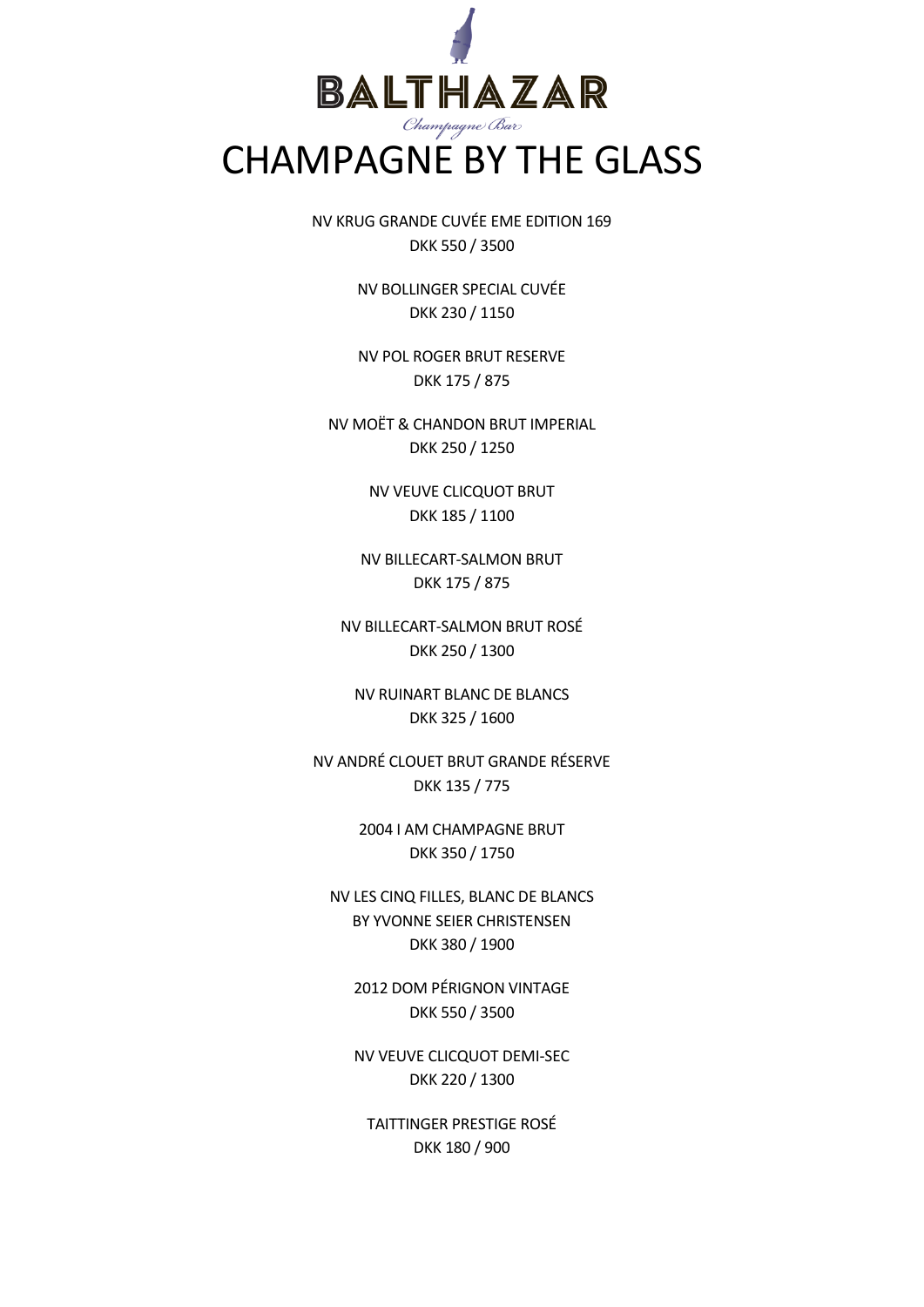

NV KRUG GRANDE CUVÉE EME EDITION 169 DKK 550 / 3500

> NV BOLLINGER SPECIAL CUVÉE DKK 230 / 1150

> NV POL ROGER BRUT RESERVE DKK 175 / 875

NV MOËT & CHANDON BRUT IMPERIAL DKK 250 / 1250

> NV VEUVE CLICQUOT BRUT DKK 185 / 1100

NV BILLECART-SALMON BRUT DKK 175 / 875

NV BILLECART-SALMON BRUT ROSÉ DKK 250 / 1300

NV RUINART BLANC DE BLANCS DKK 325 / 1600

NV ANDRÉ CLOUET BRUT GRANDE RÉSERVE DKK 135 / 775

> 2004 I AM CHAMPAGNE BRUT DKK 350 / 1750

NV LES CINQ FILLES, BLANC DE BLANCS BY YVONNE SEIER CHRISTENSEN DKK 380 / 1900

2012 DOM PÉRIGNON VINTAGE DKK 550 / 3500

NV VEUVE CLICQUOT DEMI-SEC DKK 220 / 1300

TAITTINGER PRESTIGE ROSÉ DKK 180 / 900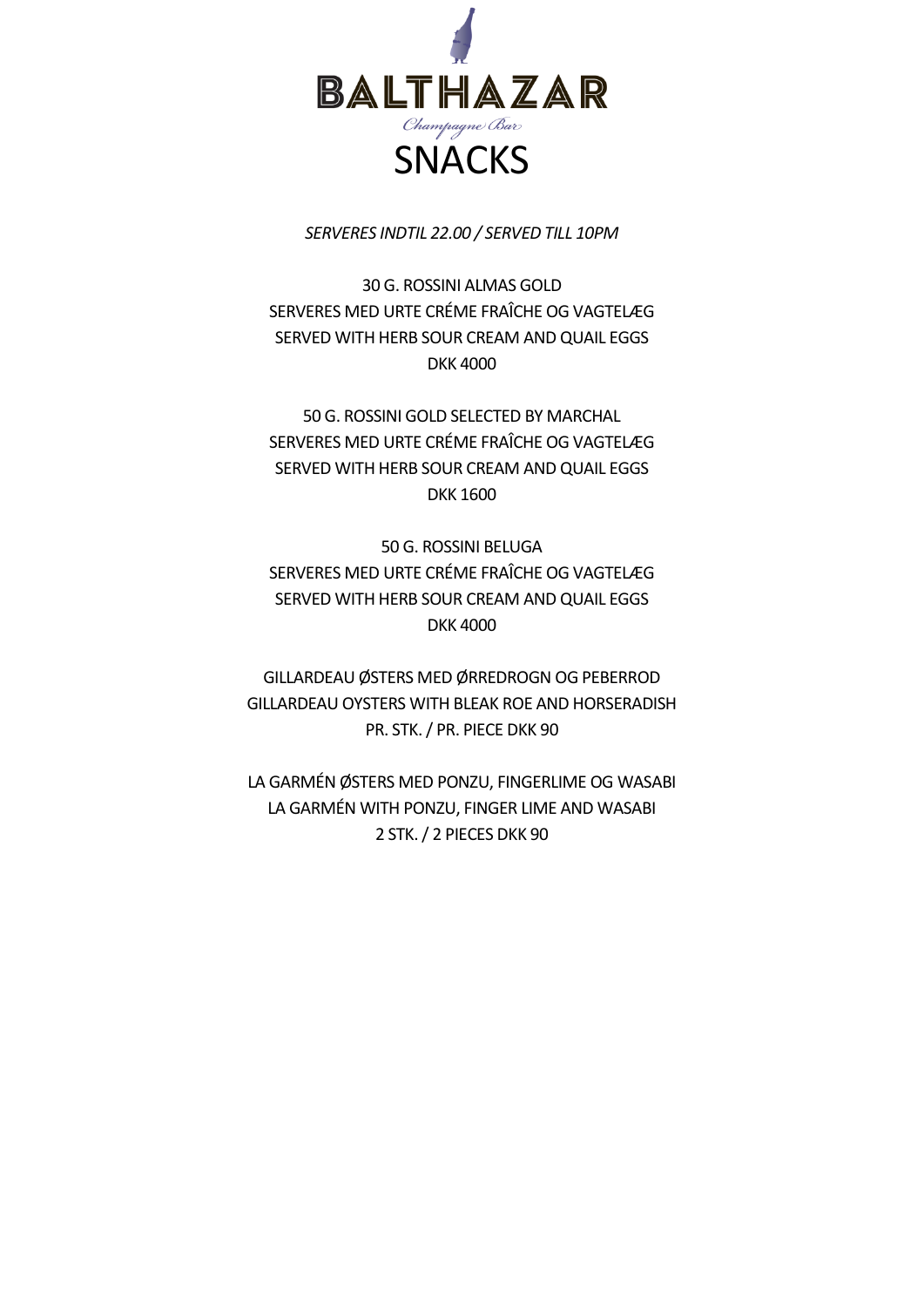

*SERVERES INDTIL 22.00 / SERVED TILL 10PM*

30 G. ROSSINI ALMAS GOLD SERVERES MED URTE CRÉME FRAÎCHE OG VAGTELÆG SERVED WITH HERB SOUR CREAM AND QUAIL EGGS DKK 4000

50 G. ROSSINI GOLD SELECTED BY MARCHAL SERVERES MED URTE CRÉME FRAÎCHE OG VAGTELÆG SERVED WITH HERB SOUR CREAM AND QUAIL EGGS DKK 1600

50 G. ROSSINI BELUGA SERVERES MED URTE CRÉME FRAÎCHE OG VAGTELÆG SERVED WITH HERB SOUR CREAM AND QUAIL EGGS DKK 4000

GILLARDEAU ØSTERS MED ØRREDROGN OG PEBERROD GILLARDEAU OYSTERS WITH BLEAK ROE AND HORSERADISH PR. STK. / PR. PIECE DKK 90

LA GARMÉN ØSTERS MED PONZU, FINGERLIME OG WASABI LA GARMÉN WITH PONZU, FINGER LIME AND WASABI 2 STK. / 2 PIECES DKK 90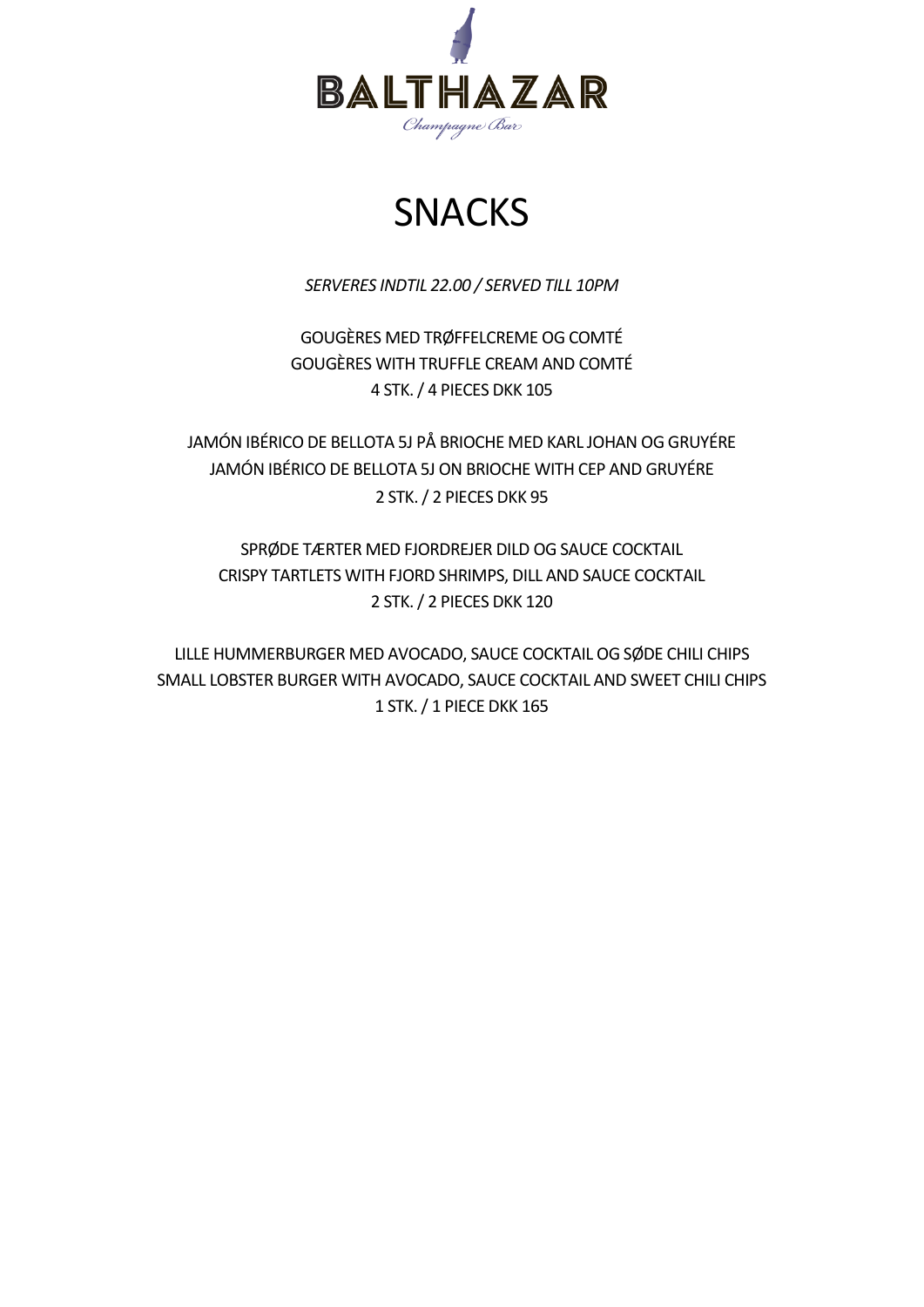

## SNACKS

*SERVERES INDTIL 22.00 / SERVED TILL 10PM*

GOUGÈRES MED TRØFFELCREME OG COMTÉ GOUGÈRES WITH TRUFFLE CREAM AND COMTÉ 4 STK. / 4 PIECES DKK 105

JAMÓN IBÉRICO DE BELLOTA 5J PÅ BRIOCHE MED KARL JOHAN OG GRUYÉRE JAMÓN IBÉRICO DE BELLOTA 5J ON BRIOCHE WITH CEP AND GRUYÉRE 2 STK. / 2 PIECES DKK 95

SPRØDE TÆRTER MED FJORDREJER DILD OG SAUCE COCKTAIL CRISPY TARTLETS WITH FJORD SHRIMPS, DILL AND SAUCE COCKTAIL 2 STK. / 2 PIECES DKK 120

LILLE HUMMERBURGER MED AVOCADO, SAUCE COCKTAIL OG SØDE CHILI CHIPS SMALL LOBSTER BURGER WITH AVOCADO, SAUCE COCKTAIL AND SWEET CHILI CHIPS 1 STK. / 1 PIECE DKK 165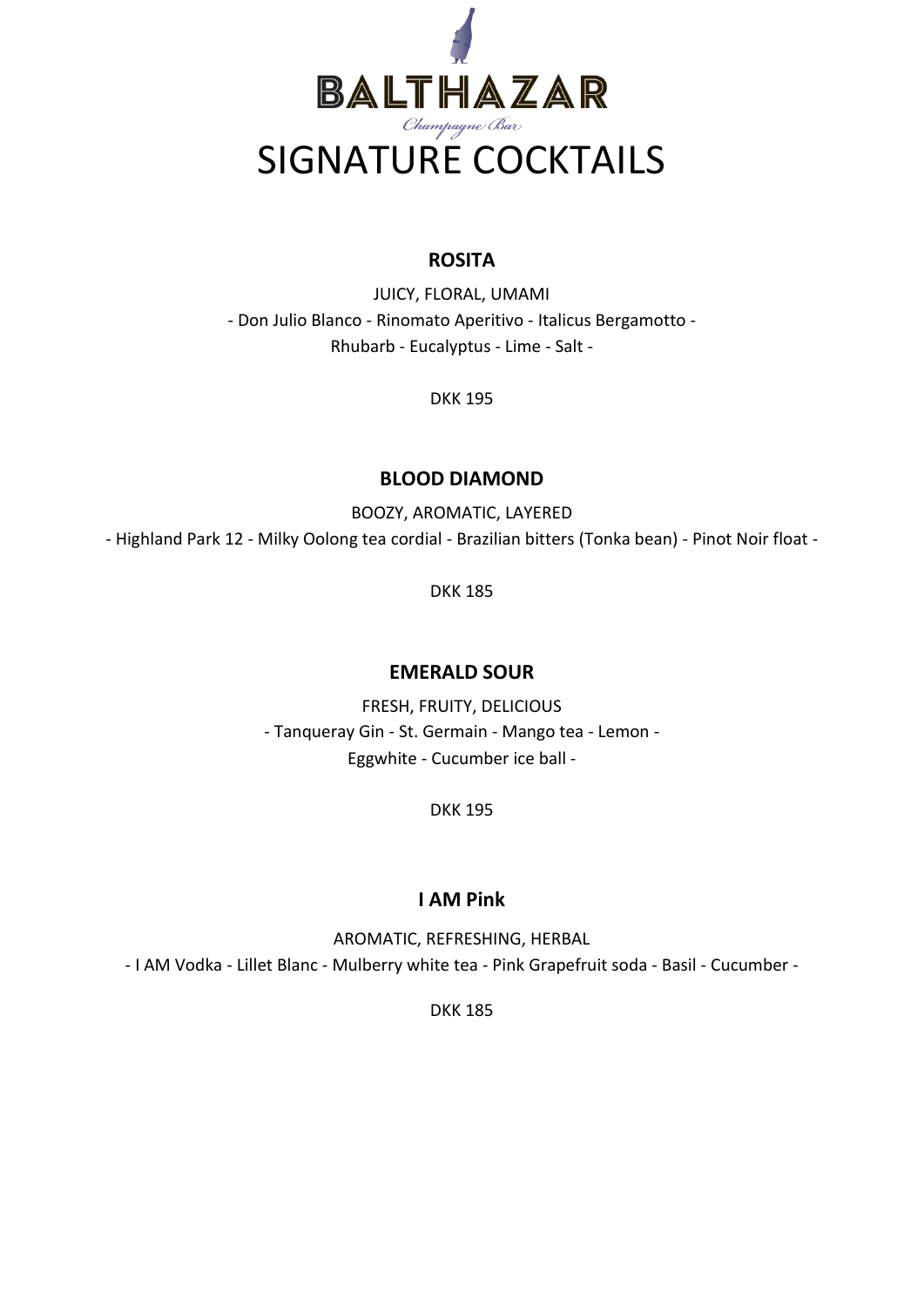

### **ROSITA**

JUICY, FLORAL, UMAMI - Don Julio Blanco - Rinomato Aperitivo - Italicus Bergamotto - Rhubarb - Eucalyptus - Lime - Salt -

DKK 195

#### **BLOOD DIAMOND**

BOOZY, AROMATIC, LAYERED - Highland Park 12 - Milky Oolong tea cordial - Brazilian bitters (Tonka bean) - Pinot Noir float -

DKK 185

### **EMERALD SOUR**

FRESH, FRUITY, DELICIOUS - Tanqueray Gin - St. Germain - Mango tea - Lemon - Eggwhite - Cucumber ice ball -

DKK 195

### **I AM Pink**

AROMATIC, REFRESHING, HERBAL - I AM Vodka - Lillet Blanc - Mulberry white tea - Pink Grapefruit soda - Basil - Cucumber -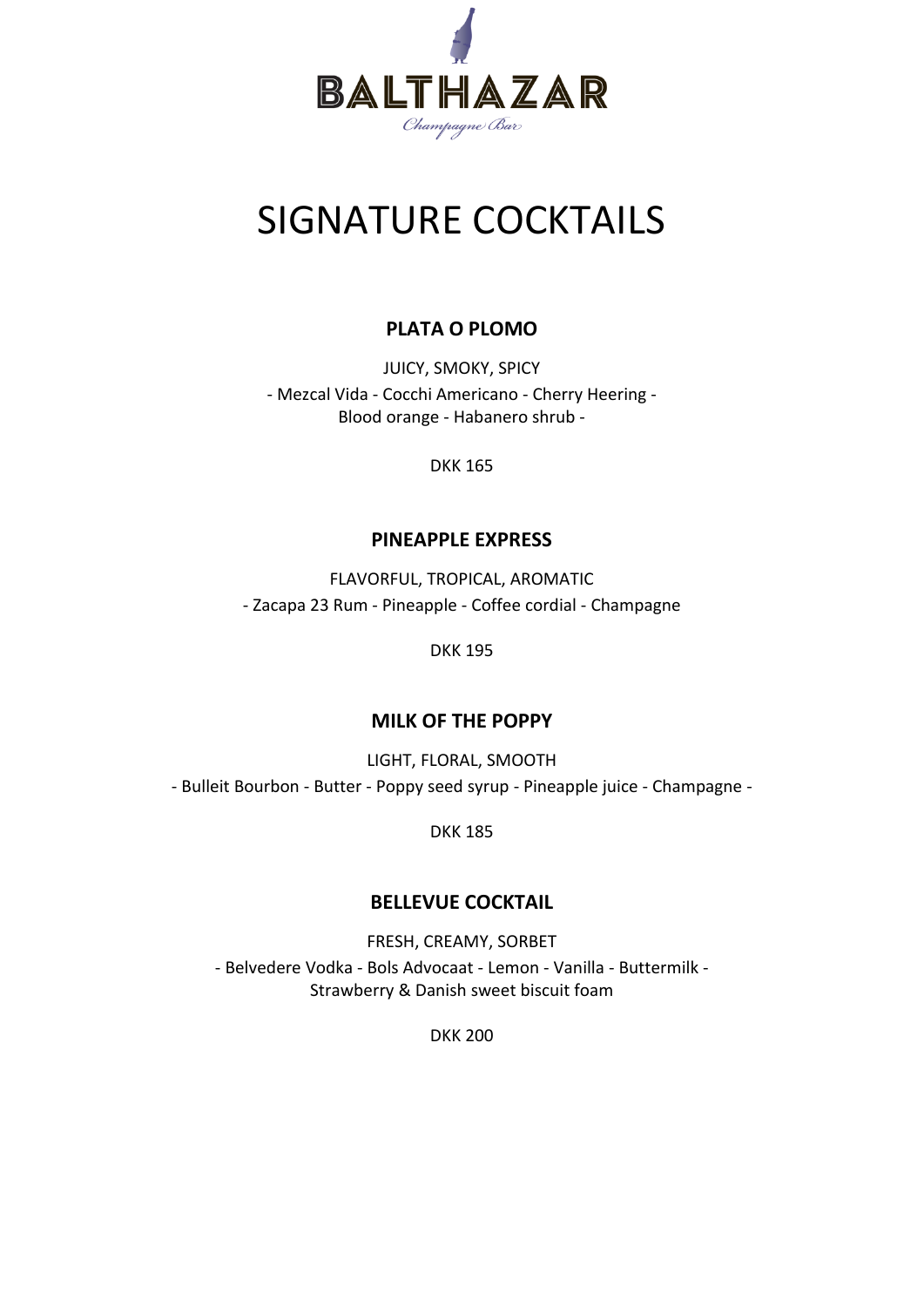

## SIGNATURE COCKTAILS

### **PLATA O PLOMO**

JUICY, SMOKY, SPICY - Mezcal Vida - Cocchi Americano - Cherry Heering - Blood orange - Habanero shrub -

DKK 165

#### **PINEAPPLE EXPRESS**

FLAVORFUL, TROPICAL, AROMATIC - Zacapa 23 Rum - Pineapple - Coffee cordial - Champagne

DKK 195

#### **MILK OF THE POPPY**

LIGHT, FLORAL, SMOOTH - Bulleit Bourbon - Butter - Poppy seed syrup - Pineapple juice - Champagne -

DKK 185

### **BELLEVUE COCKTAIL**

FRESH, CREAMY, SORBET - Belvedere Vodka - Bols Advocaat - Lemon - Vanilla - Buttermilk - Strawberry & Danish sweet biscuit foam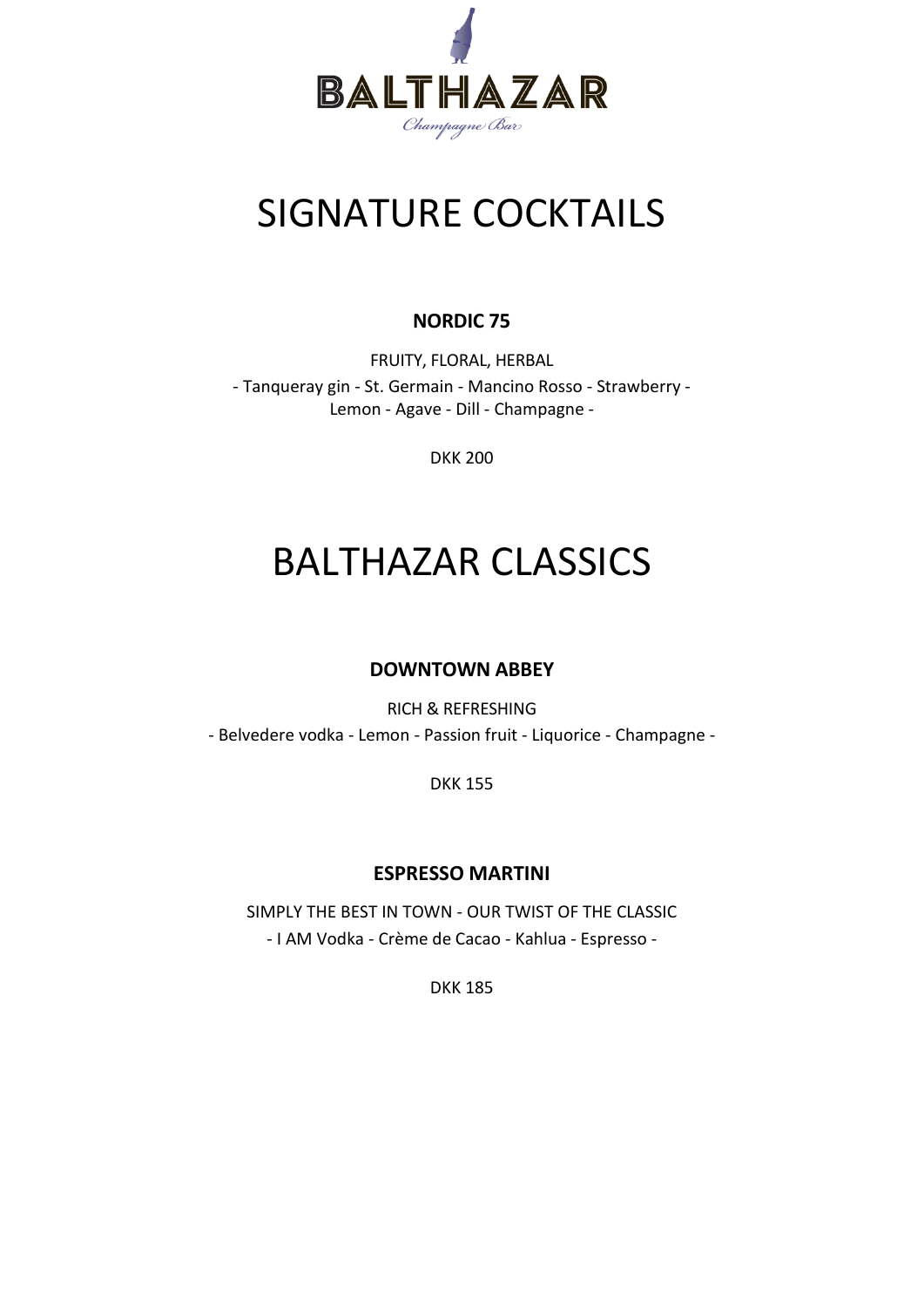

## SIGNATURE COCKTAILS

### **NORDIC 75**

FRUITY, FLORAL, HERBAL - Tanqueray gin - St. Germain - Mancino Rosso - Strawberry - Lemon - Agave - Dill - Champagne -

DKK 200

## BALTHAZAR CLASSICS

### **DOWNTOWN ABBEY**

RICH & REFRESHING

- Belvedere vodka - Lemon - Passion fruit - Liquorice - Champagne -

DKK 155

#### **ESPRESSO MARTINI**

SIMPLY THE BEST IN TOWN - OUR TWIST OF THE CLASSIC - I AM Vodka - Crème de Cacao - Kahlua - Espresso -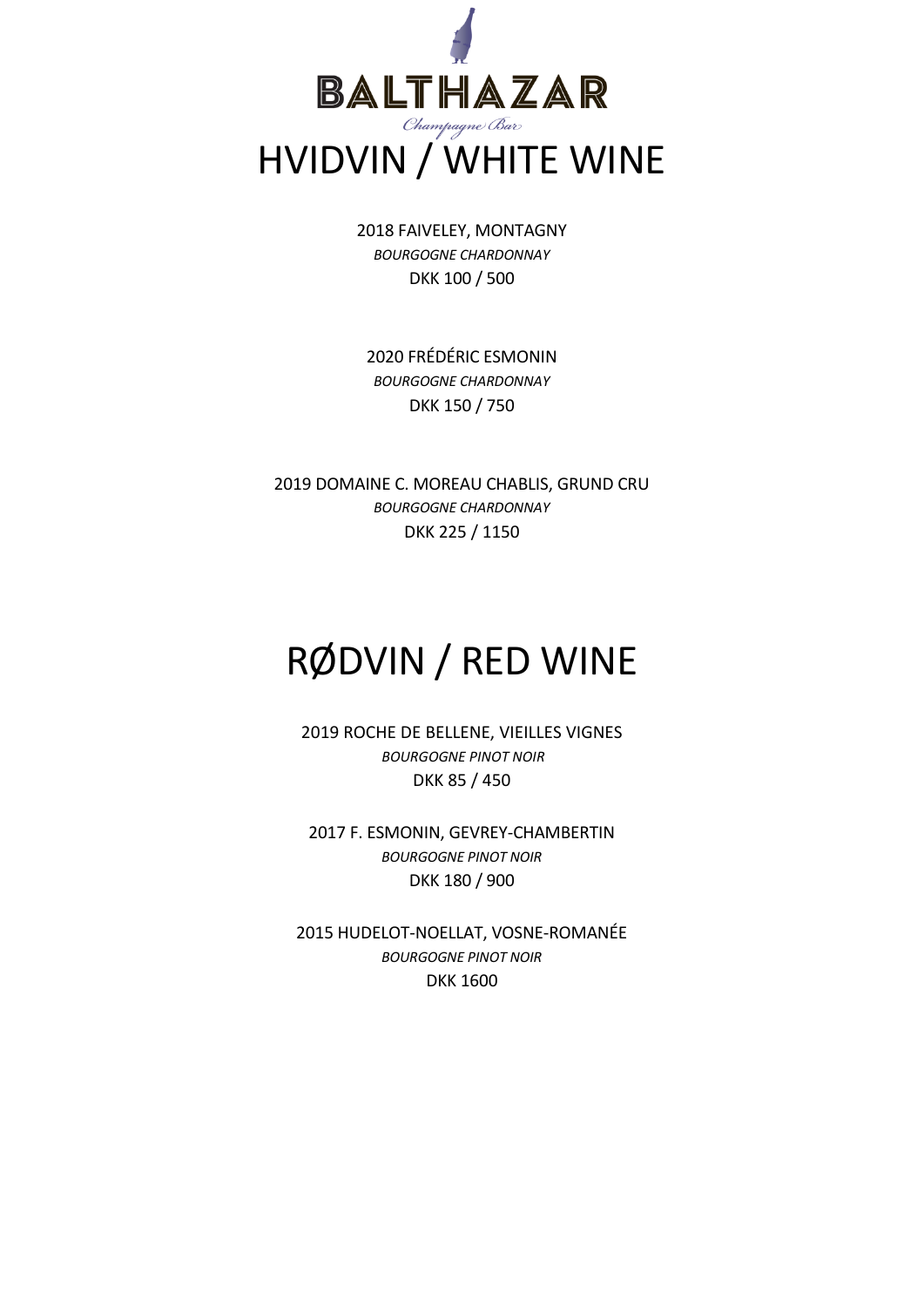

2018 FAIVELEY, MONTAGNY *BOURGOGNE CHARDONNAY* DKK 100 / 500

2020 FRÉDÉRIC ESMONIN *BOURGOGNE CHARDONNAY* DKK 150 / 750

2019 DOMAINE C. MOREAU CHABLIS, GRUND CRU *BOURGOGNE CHARDONNAY* DKK 225 / 1150

## RØDVIN / RED WINE

2019 ROCHE DE BELLENE, VIEILLES VIGNES *BOURGOGNE PINOT NOIR* DKK 85 / 450

2017 F. ESMONIN, GEVREY-CHAMBERTIN *BOURGOGNE PINOT NOIR* DKK 180 / 900

2015 HUDELOT-NOELLAT, VOSNE-ROMANÉE *BOURGOGNE PINOT NOIR* DKK 1600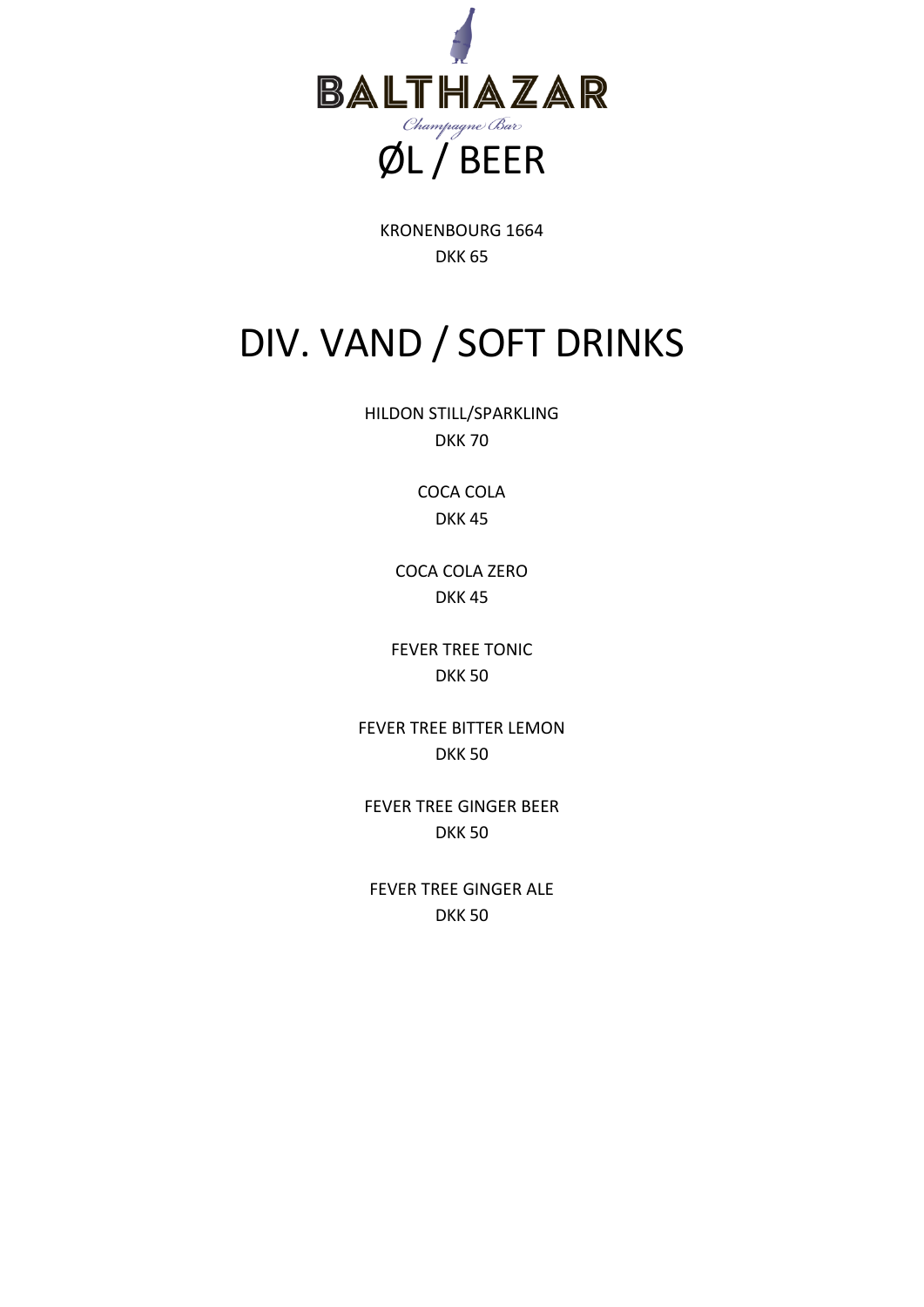

KRONENBOURG 1664 DKK 65

## DIV. VAND / SOFT DRINKS

HILDON STILL/SPARKLING DKK 70

> COCA COLA DKK 45

COCA COLA ZERO DKK 45

FEVER TREE TONIC DKK 50

FEVER TREE BITTER LEMON DKK 50

FEVER TREE GINGER BEER DKK 50

FEVER TREE GINGER ALE DKK 50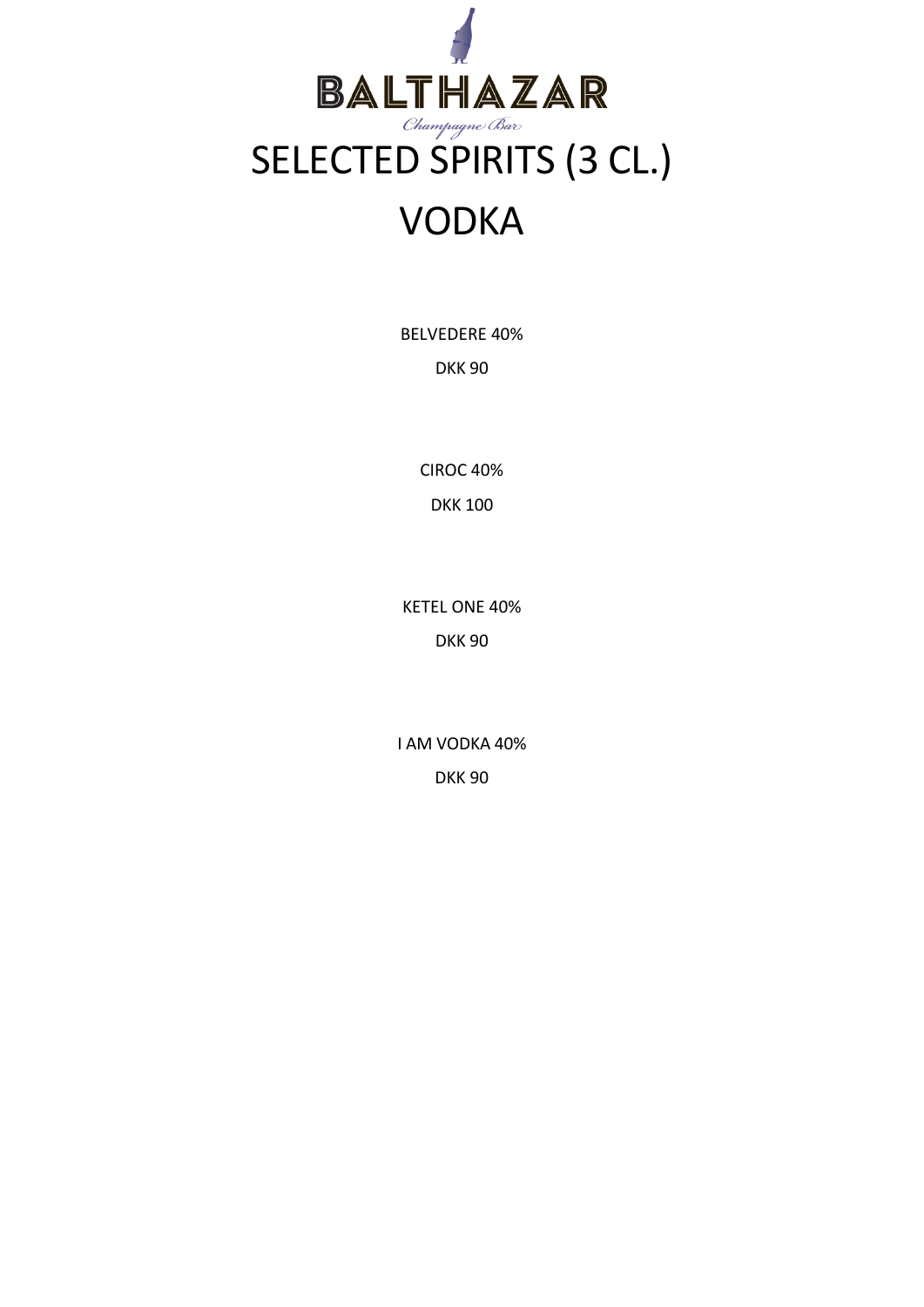

BELVEDERE 40%

DKK 90

CIROC 40% DKK 100

KETEL ONE 40% DKK 90

I AM VODKA 40% DKK 90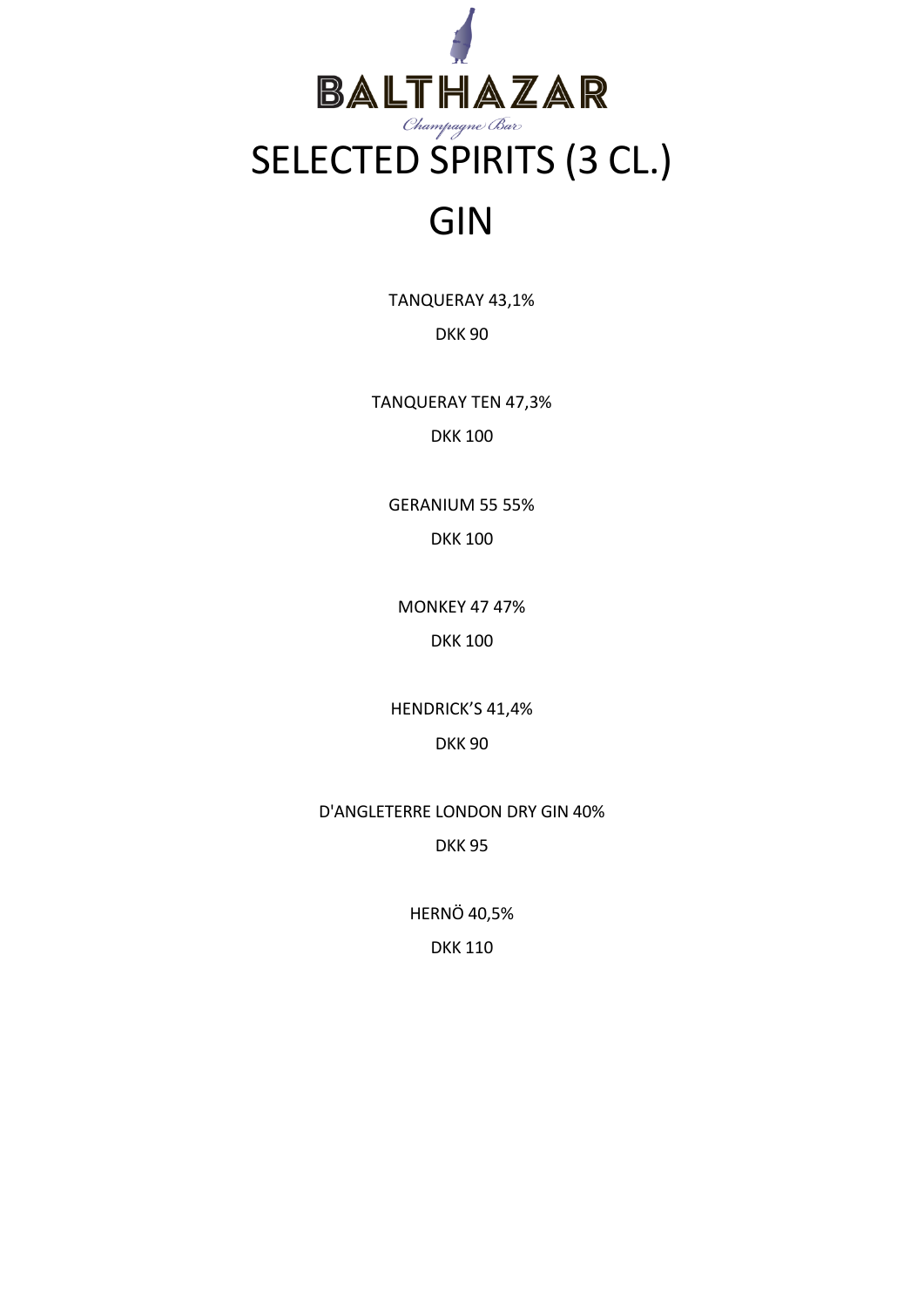

TANQUERAY 43,1%

DKK 90

TANQUERAY TEN 47,3% DKK 100

GERANIUM 55 55% DKK 100

MONKEY 47 47% DKK 100

HENDRICK'S 41,4%

DKK 90

D'ANGLETERRE LONDON DRY GIN 40% DKK 95

HERNÖ 40,5%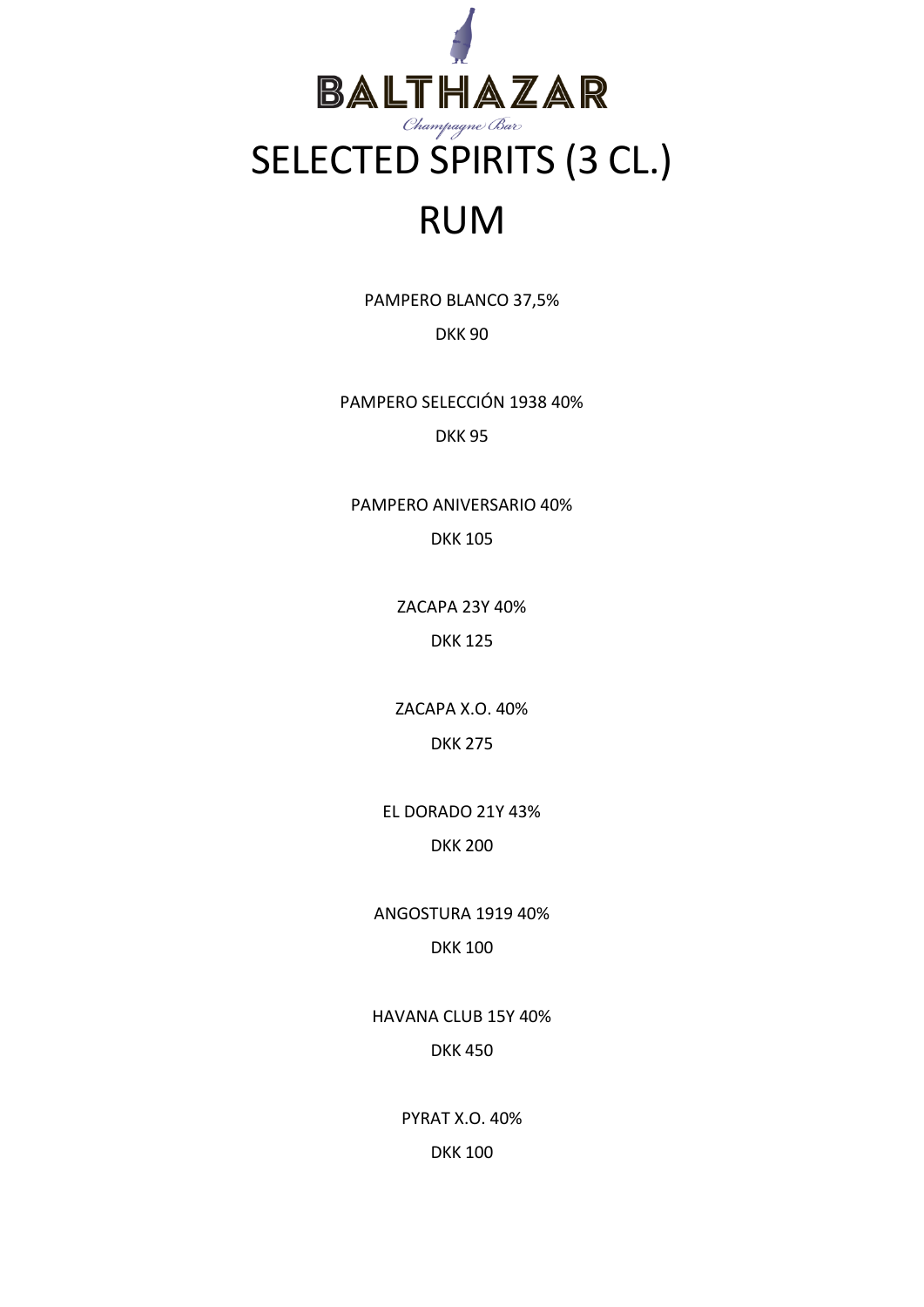

PAMPERO BLANCO 37,5%

DKK 90

PAMPERO SELECCIÓN 1938 40% DKK 95

PAMPERO ANIVERSARIO 40% DKK 105

> ZACAPA 23Y 40% DKK 125

> ZACAPA X.O. 40% DKK 275

EL DORADO 21Y 43% DKK 200

ANGOSTURA 1919 40% DKK 100

HAVANA CLUB 15Y 40% DKK 450

> PYRAT X.O. 40% DKK 100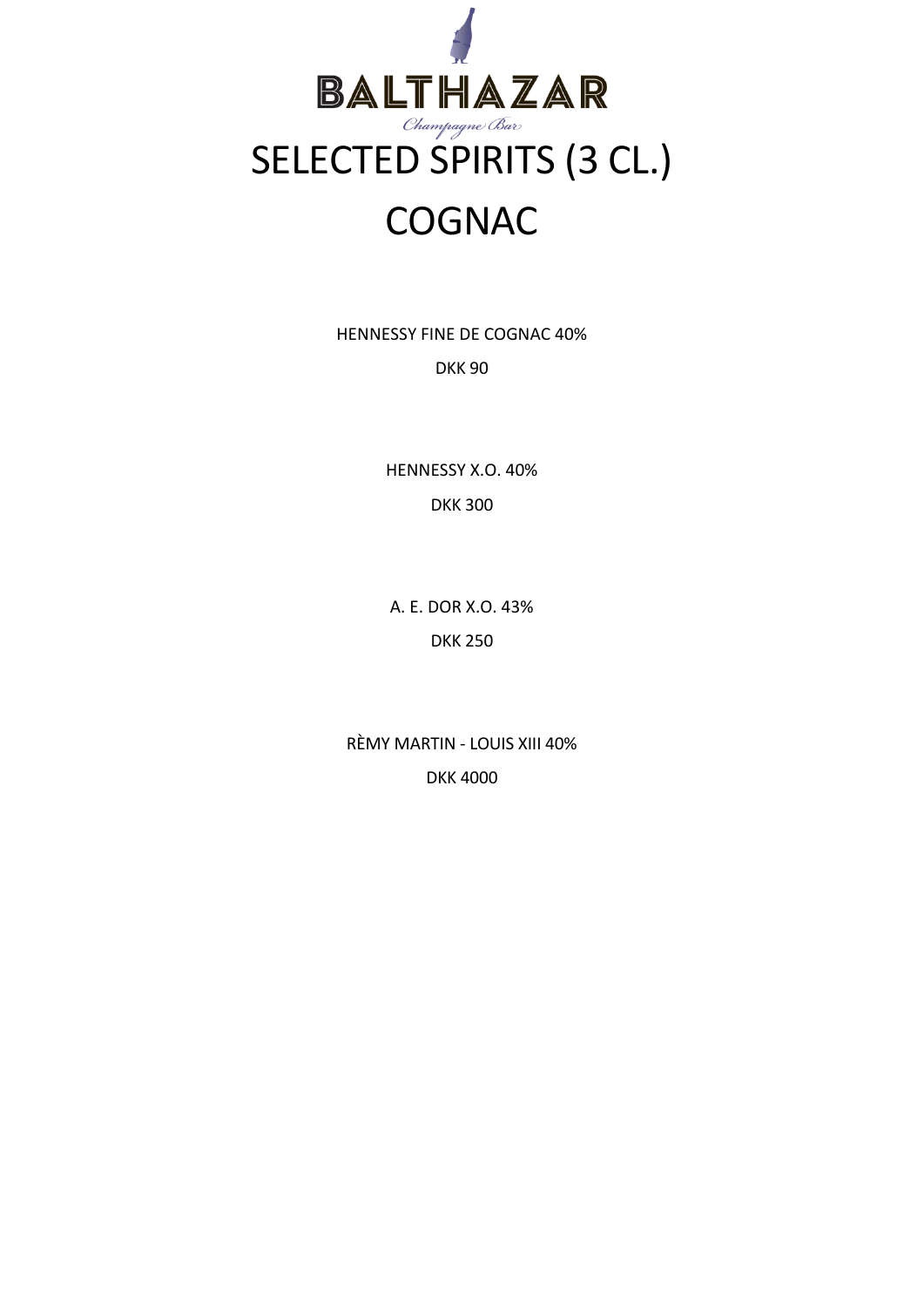

HENNESSY FINE DE COGNAC 40% DKK 90

> HENNESSY X.O. 40% DKK 300

A. E. DOR X.O. 43% DKK 250

RÈMY MARTIN - LOUIS XIII 40% DKK 4000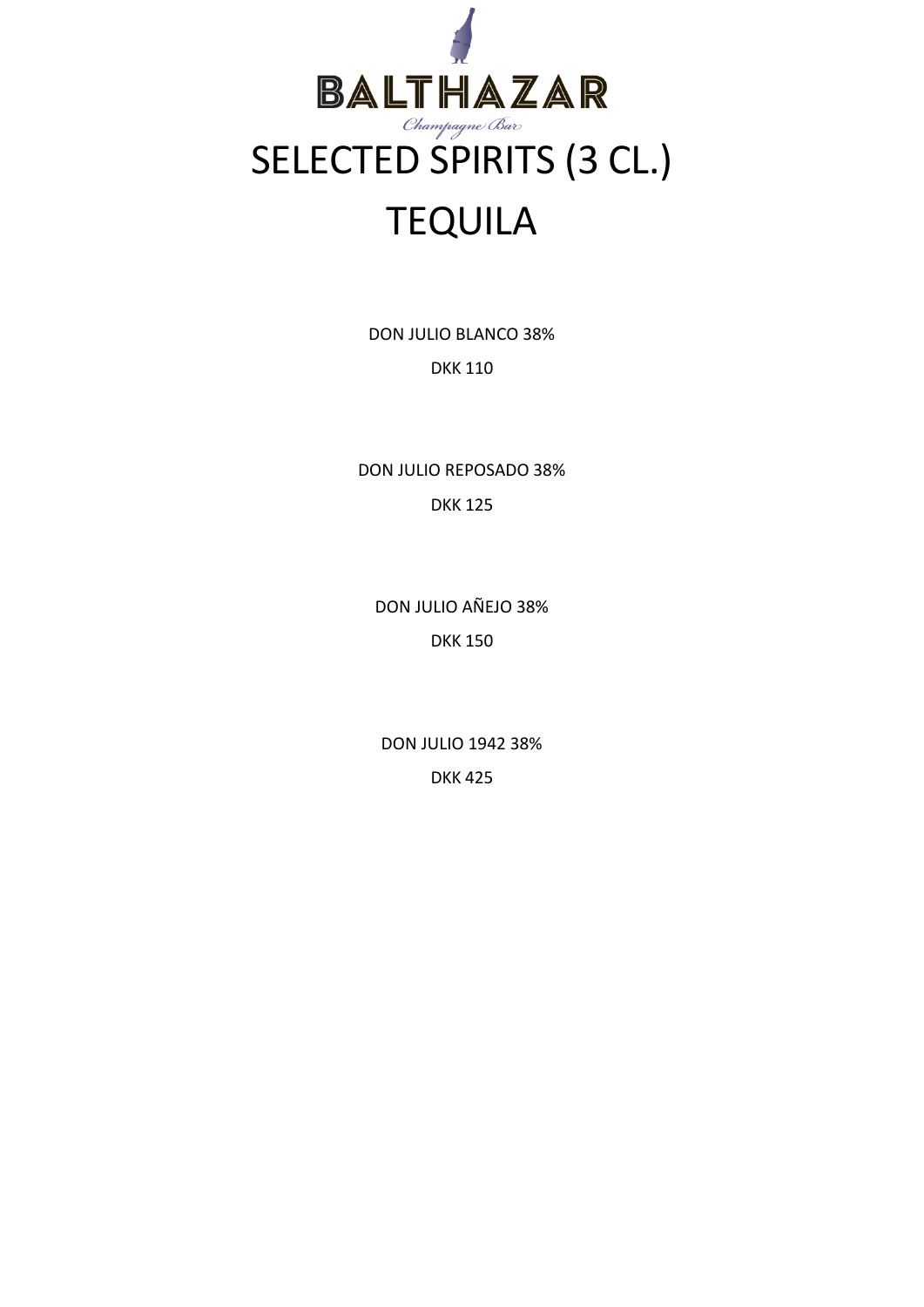

DON JULIO BLANCO 38% DKK 110

DON JULIO REPOSADO 38% DKK 125

DON JULIO AÑEJO 38% DKK 150

DON JULIO 1942 38% DKK 425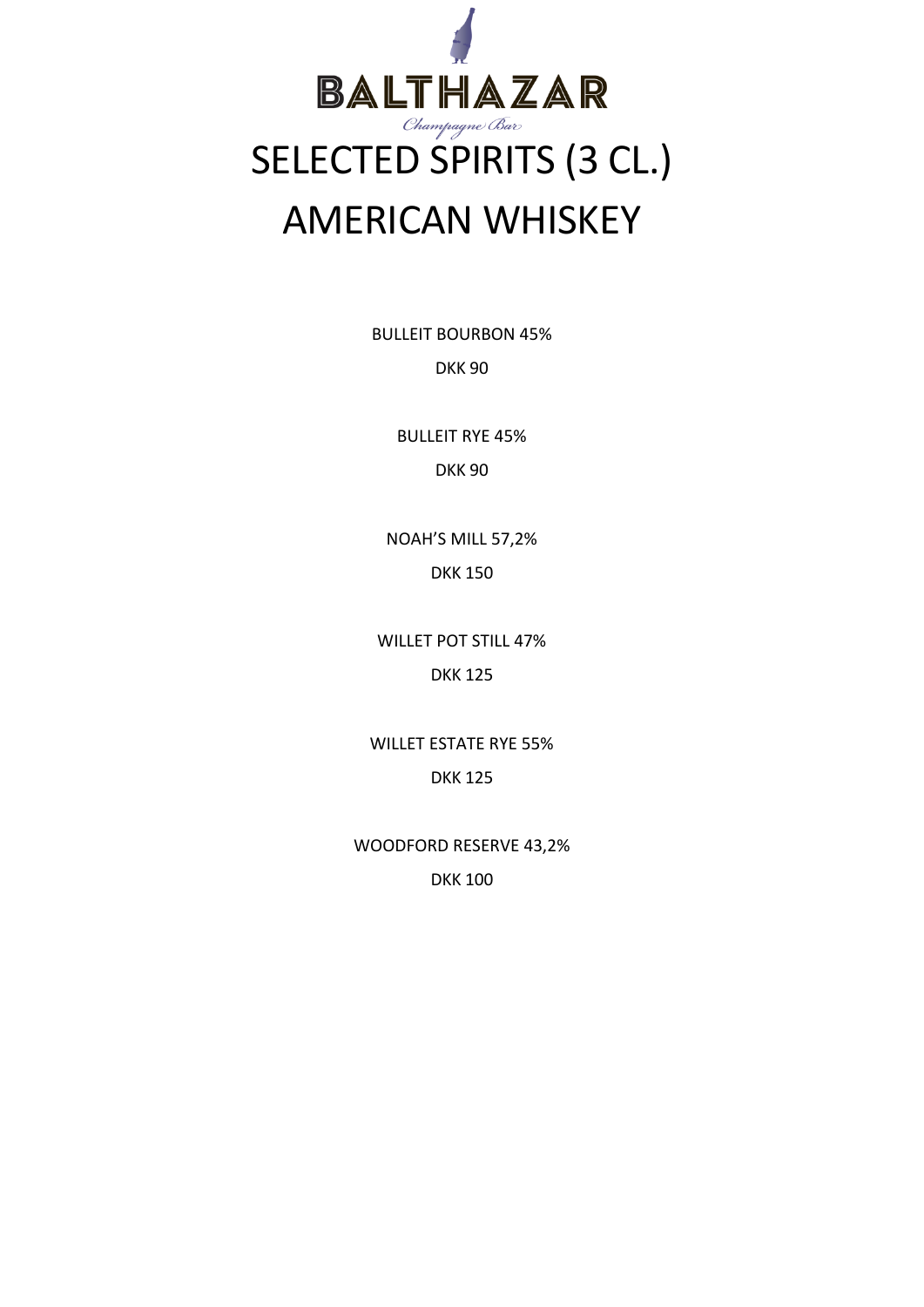

BULLEIT BOURBON 45% DKK 90

> BULLEIT RYE 45% DKK 90

NOAH'S MILL 57,2% DKK 150

WILLET POT STILL 47% DKK 125

WILLET ESTATE RYE 55% DKK 125

WOODFORD RESERVE 43,2% DKK 100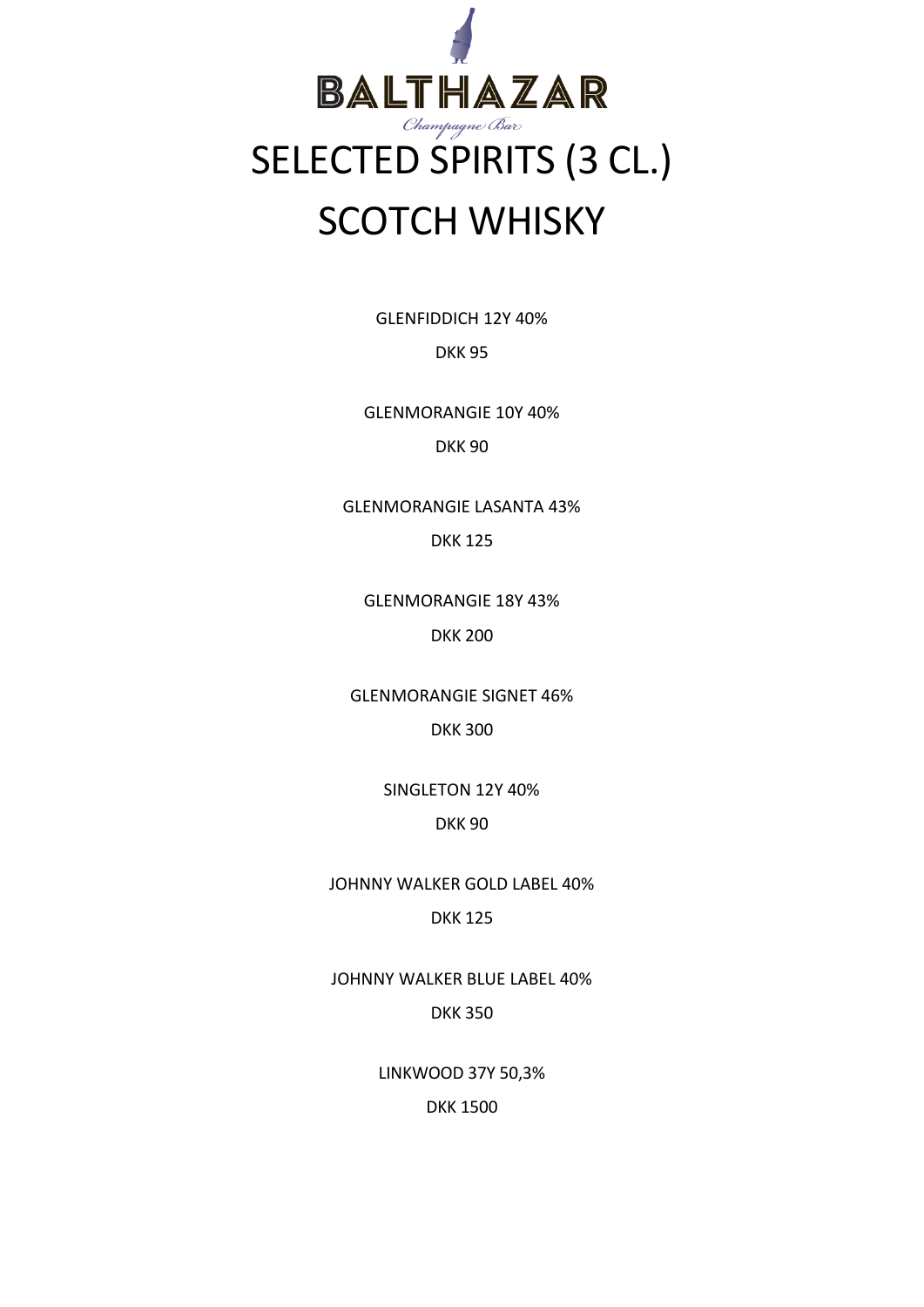

GLENFIDDICH 12Y 40%

DKK 95

GLENMORANGIE 10Y 40% DKK 90

GLENMORANGIE LASANTA 43% DKK 125

GLENMORANGIE 18Y 43% DKK 200

GLENMORANGIE SIGNET 46% DKK 300

> SINGLETON 12Y 40% DKK 90

JOHNNY WALKER GOLD LABEL 40%

DKK 125

JOHNNY WALKER BLUE LABEL 40%

DKK 350

LINKWOOD 37Y 50,3%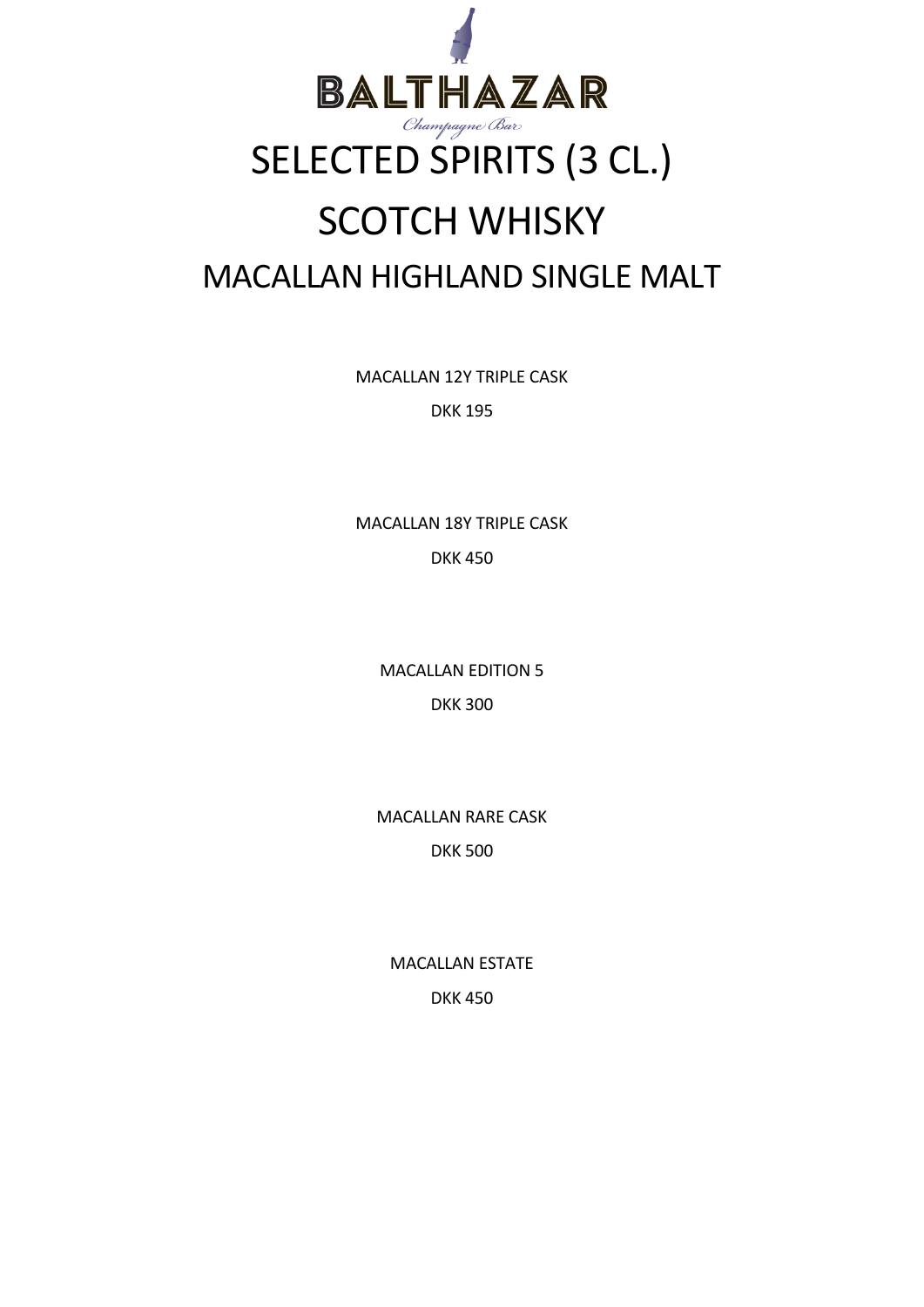

## SCOTCH WHISKY MACALLAN HIGHLAND SINGLE MALT

MACALLAN 12Y TRIPLE CASK

DKK 195

MACALLAN 18Y TRIPLE CASK DKK 450

> MACALLAN EDITION 5 DKK 300

MACALLAN RARE CASK DKK 500

MACALLAN ESTATE DKK 450